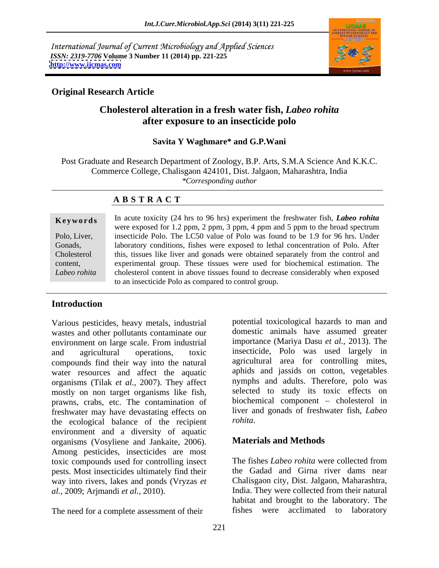International Journal of Current Microbiology and Applied Sciences *ISSN: 2319-7706* **Volume 3 Number 11 (2014) pp. 221-225 <http://www.ijcmas.com>**



### **Original Research Article**

# **Cholesterol alteration in a fresh water fish,** *Labeo rohita* **after exposure to an insecticide polo**

### **Savita Y Waghmare\* and G.P.Wani**

Post Graduate and Research Department of Zoology, B.P. Arts, S.M.A Science And K.K.C. Commerce College, Chalisgaon 424101, Dist. Jalgaon, Maharashtra, India *\*Corresponding author*

## **A B S T R A C T**

**Ke ywo rds** In acute toxicity (24 hrs to 96 hrs) experiment the freshwater fish, *Labeo rohita* Polo, Liver, insecticide Polo. The LC50 value of Polo was found to be 1.9 for 96 hrs. Under Gonads, laboratory conditions, fishes were exposed to lethal concentration of Polo. After Cholesterol this, tissues like liver and gonads were obtained separately from the control and content, experimental group. These tissues were used for biochemical estimation. The Labeo rohita cholesterol content in above tissues found to decrease considerably when exposed were exposed for 1.2 ppm, 2 ppm, 3 ppm, 4 ppm and 5 ppm to the broad spectrum to an insecticide Polo as compared to control group.

# **Introduction**

Various pesticides, heavy metals, industrial wastes and other pollutants contaminate our environment on large scale. From industrial compounds find their way into the natural water resources and affect the aquatic organisms (Tilak *et al.,* 2007). They affect mostly on non target organisms like fish, prawns, crabs, etc. The contamination of freshwater may have devastating effects on the ecological balance of the recipient environment and a diversity of aquatic organisms (Vosyliene and Jankaite, 2006). Among pesticides, insecticides are most toxic compounds used for controlling insect The fishes Labeo rohita were collected from pests. Most insecticides ultimately find their way into rivers, lakes and ponds (Vryzas *et al.,* 2009; Arjmandi *et al.,* 2010). India. They were collected from their natural

and agricultural operations, toxic insecticide, Polo was used largely in potential toxicological hazards to man and domestic animals have assumed greater importance (Mariya Dasu *et al.,* 2013). The agricultural area for controlling mites, aphids and jassids on cotton, vegetables nymphs and adults. Therefore, polo was selected to study its toxic effects on biochemical component - cholesterol in liver and gonads of freshwater fish, *Labeo rohita*.

### **Materials and Methods**

The need for a complete assessment of their fishes were acclimated to laboratory The fishes *Labeo rohita* were collected from the Gadad and Girna river dams near Chalisgaon city, Dist. Jalgaon, Maharashtra, habitat and brought to the laboratory. The fishes were acclimated to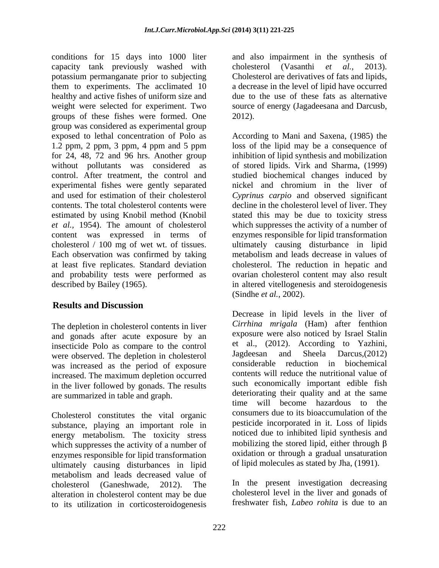conditions for 15 days into 1000 liter and also impairment in the synthesis of capacity tank previously washed with cholesterol (Vasanthi et al., 2013). potassium permanganate prior to subjecting them to experiments. The acclimated 10 a decrease in the level of lipid have occurred healthy and active fishes of uniform size and weight were selected for experiment. Two source of energy (Jagadeesana and Darcusb, groups of these fishes were formed. One group was considered as experimental group experimental fishes were gently separated content was expressed in terms of Each observation was confirmed by taking

# **Results and Discussion**

The depletion in cholesterol contents in liver and gonads after acute exposure by an insecticide Polo as compare to the control et al., (2012). According to Yazhini,<br>were observed The depletion in cholecterol Jagdeesan and Sheela Darcus.(2012) were observed. The depletion in cholesterol was increased as the period of exposure increased. The maximum depletion occurred in the liver followed by gonads. The results

Cholesterol constitutes the vital organic substance, playing an important role in energy metabolism. The toxicity stress which suppresses the activity of a number of enzymes responsible for lipid transformation ultimately causing disturbances in lipid metabolism and leads decreased value of cholesterol (Ganeshwade, 2012). The In the present investigation decreasing alteration in cholesterol content may be due to its utilization in corticosteroidogenesis

cholesterol (Vasanthi *et al.,* 2013). Cholesterol are derivatives of fats and lipids, due to the use of these fats as alternative 2012).

exposed to lethal concentration of Polo as According to Mani and Saxena, (1985) the 1.2 ppm, 2 ppm, 3 ppm, 4 ppm and 5 ppm loss of the lipid may be a consequence of for 24, 48, 72 and 96 hrs. Another group inhibition of lipid synthesis and mobilization without pollutants was considered as of stored lipids. Virk and Sharma, (1999) control. After treatment, the control and studied biochemical changes induced by and used for estimation of their cholesterol *Cyprinus carpio* and observed significant contents. The total cholesterol contents were decline in the cholesterol level of liver. They estimated by using Knobil method (Knobil stated this may be due to toxicity stress *et al.,* 1954). The amount of cholesterol which suppresses the activity of a number of cholesterol / 100 mg of wet wt. of tissues. ultimately causing disturbance in lipid at least five replicates. Standard deviation cholesterol. The reduction in hepatic and and probability tests were performed as ovarian cholesterol content may also result described by Bailey (1965). in altered vitellogenesis and steroidogenesis nickel and chromium in the liver of enzymes responsible for lipid transformation metabolism and leads decrease in values of (Sindhe *et al.,* 2002).

are summarized in table and graph.<br>time will become hazardous to the Decrease in lipid levels in the liver of *Cirrhina mrigala* (Ham) after fenthion exposure were also noticed by Israel Stalin et al., (2012). According to Yazhini, Jagdeesan and Sheela Darcus,(2012) considerable reduction in biochemical contents will reduce the nutritional value of such economically important edible fish deteriorating their quality and at the same time will become hazardous to consumers due to its bioaccumulation of the pesticide incorporated in it. Loss of lipids noticed due to inhibited lipid synthesis and mobilizing the stored lipid, either through  $\beta$ oxidation or through a gradual unsaturation of lipid molecules as stated by Jha, (1991).

> cholesterol level in the liver and gonads of freshwater fish, *Labeo rohita* is due to an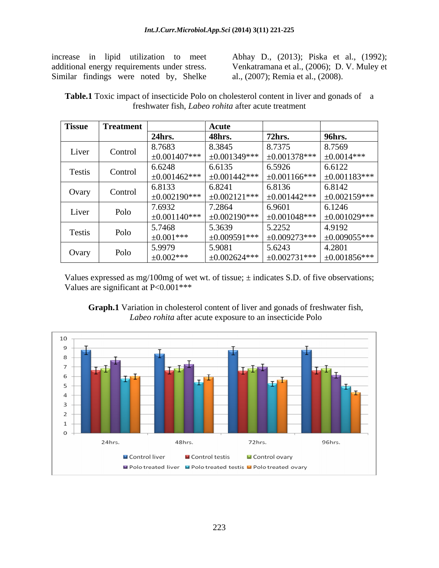Similar findings were noted by, Shelke

increase in lipid utilization to meet Abhay D., (2013); Piska et al., (1992); additional energy requirements under stress. Venkatramana et al., (2006); D. V. Muley et al., (2007); Remia et al., (2008).

**Table.1** Toxic impact of insecticide Polo on cholesterol content in liver and gonads of a freshwater fish, *Labeo rohita* after acute treatment

| <b>Tissue</b> | <b>Treatment</b> |                    | Acute              |                    |                    |
|---------------|------------------|--------------------|--------------------|--------------------|--------------------|
|               |                  | 24hrs.             | 48hrs.             | <b>72hrs.</b>      | 96hrs.             |
| Liver         | Control          | 8.7683             | 8.3845             | 8.7375             | 8.7569             |
|               |                  | $\pm 0.001407$ *** | $\pm 0.001349$ *** | $\pm 0.001378$ *** | $\pm 0.0014$ ***   |
| Testis        | Control          | 6.6248             | 6.6135             | 6.5926             | 6.6122             |
|               |                  | $\pm 0.001462$ *** | $\pm 0.001442$ *** | $\pm 0.001166$ *** | $\pm 0.001183$ *** |
| Ovary         | Control          | 6.8133             | 6.8241             | 6.8136             | 6.8142             |
|               |                  | $\pm 0.002190$ *** | $\pm 0.002121$ *** | $\pm 0.001442$ *** | $\pm 0.002159$ *** |
| Liver         | Polo             | 7.6932             | 7.2864             | 6.9601             | 6.1246             |
|               |                  | $\pm 0.001140$ *** | $\pm 0.002190$ *** | $\pm 0.001048$ *** | $\pm 0.001029$ *** |
| Testis        | Polo             | 5.7468             | 5.3639             | 5.2252             | 4.9192             |
|               |                  | $\pm 0.001$ ***    | $\pm 0.009591$ *** | $\pm 0.009273$ *** | $\pm 0.009055***$  |
| Ovary         | Polo             | 5.9979             | 5.9081             | 5.6243             | 4.2801             |
|               |                  | $\pm 0.002$ ***    | $\pm 0.002624$ *** | $\pm 0.002731$ *** | $\pm 0.001856$ *** |

Values expressed as mg/100mg of wet wt. of tissue;  $\pm$  indicates S.D. of five observations; Values are significant at P<0.001\*\*\*



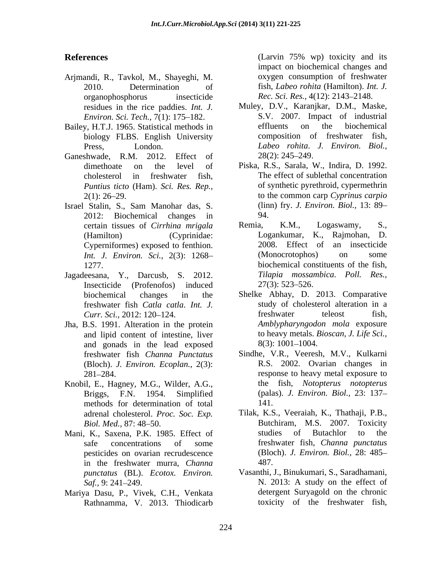- Arjmandi, R., Tavkol, M., Shayeghi, M. organophosphorus insecticide *Rec. Sci. Res.,* 4(12): 2143 2148.
- Bailey, H.T.J. 1965. Statistical methods in biology FLBS. English University
- Ganeshwade, R.M. 2012. Effect of  $28(2): 245-249$ .
- Israel Stalin, S., Sam Manohar das, S. 2012: Biochemical changes in Cyperniformes) exposed to fenthion.
- Jagadeesana, Y., Darcusb, S. 2012. *Tilapia mossar*<br>Insecticide (Profenofos) induced 27(3): 523–526. Insecticide (Profenofos) induced freshwater fish *Catla catla*. *Int. J.*
- and lipid content of intestine, liver and gonads in the lead exposed 8(3): 1001–1004. freshwater fish *Channa Punctatus* (Bloch). *J. Environ. Ecoplan.,* 2(3):
- Knobil, E., Hagney, M.G., Wilder, A.G., methods for determination of total 141.
- Mani, K., Saxena, P.K. 1985. Effect of pesticides on ovarian recrudescence in the freshwater murra, *Channa punctatus* (BL). *Ecotox. Environ.*
- Mariya Dasu, P., Vivek, C.H., Venkata Rathnamma, V. 2013. Thiodicarb

**References** (Larvin 75% wp) toxicity and its 2010. Determination of fish, *Labeo rohita* (Hamilton). *Int. J.* (Larvin 75% wp) toxicity and its impact on biochemical changes and oxygen consumption of freshwater

- residues in the rice paddies. *Int. J.* Muley, D.V., Karanjkar, D.M., Maske, *Environ. Sci. Tech.,* 7(1): 175–182. S.V. 2007. Impact of industrial v H T I 1965 Statistical methods in effluents on the biochemical Press, London. *Labeo rohita*. *J. Environ. Biol.,* S.V. 2007. Impact of industrial effluents on the biochemical composition of freshwater fish, 28(2): 245 249.
- dimethoate on the level of Piska, R.S., Sarala, W., Indira, D. 1992. cholesterol in freshwater fish, The effect of sublethal concentration *Puntius ticto* (Ham). *Sci. Res. Rep.,* of synthetic pyrethroid, cypermethrin 2(1): 26 29. to the common carp *Cyprinus carpio* (linn) fry. *J. Environ. Biol.,* 13: 89 94.
- certain tissues of *Cirrhina mrigala* Remia, K.M., Logaswamy, S., (Hamilton) (Cyprinidae: Logankumar, K., Rajmohan, D. *Int. J. Environ. Sci.,* 2(3): 1268 1277. biochemical constituents of the fish, Remia, K.M., Logaswamy, S., 2008. Effect of an insecticide (Monocrotophos) on some *Tilapia mossambica*. *Poll. Res.,*  $27(3)$ : 523–526.
- biochemical changes in the Shelke Abhay, D. 2013. Comparative *Curr. Sci.,* 2012: 120–124. **Fire and Science 124.** In the protein *Amblypharyngodon mola* exposure *Stags*. Jha, B.S. 1991. Alteration in the protein *Amblypharyngodon mola* exposure study of cholesterol alteration in a freshwater teleost fish, *Amblypharyngodon mola* exposure to heavy metals. *Bioscan, J. Life Sci.,* 8(3): 1001 1004.
	- 281 284. response to heavy metal exposure to Briggs, F.N. 1954. Simplified (palas). *J. Environ. Biol.,* 23: 137 Sindhe, V.R., Veeresh, M.V., Kulkarni R.S. 2002. Ovarian changes in the fish, *Notopterus notopterus* 141.
	- adrenal cholesterol. *Proc. Soc. Exp.* Tilak, K.S., Veeraiah, K., Thathaji, P.B., *Biol. Med.,* 87: 48–50. **Butchiram, M.S. 2007. Toxicity** safe concentrations of some freshwater fish, *Channa punctatus* Butchiram, M.S. 2007. Toxicity studies of Butachlor to the (Bloch). *J. Environ. Biol.,* 28: 485 487.
	- *Saf.*, 9: 241–249. **N.** 2013: A study on the effect of Vasanthi, J., Binukumari, S., Saradhamani, N. 2013: A study on the effect of detergent Suryagold on the chronic toxicity of the freshwater fish,